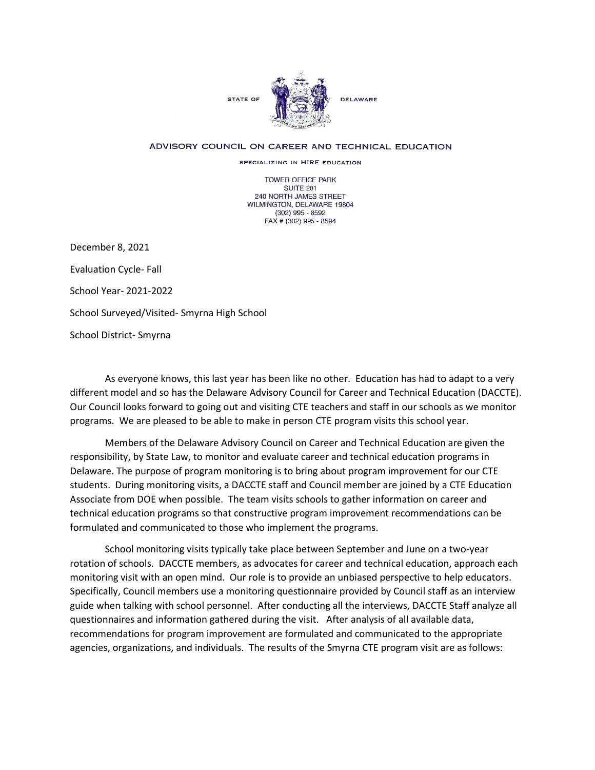

## ADVISORY COUNCIL ON CAREER AND TECHNICAL EDUCATION

SPECIALIZING IN HIRE EDUCATION

TOWER OFFICE PARK SUITE 201 240 NORTH JAMES STREET WILMINGTON, DELAWARE 19804 (302) 995 - 8592 FAX # (302) 995 - 8594

December 8, 2021 Evaluation Cycle- Fall School Year- 2021-2022 School Surveyed/Visited- Smyrna High School School District- Smyrna

As everyone knows, this last year has been like no other. Education has had to adapt to a very different model and so has the Delaware Advisory Council for Career and Technical Education (DACCTE). Our Council looks forward to going out and visiting CTE teachers and staff in our schools as we monitor programs. We are pleased to be able to make in person CTE program visits this school year.

Members of the Delaware Advisory Council on Career and Technical Education are given the responsibility, by State Law, to monitor and evaluate career and technical education programs in Delaware. The purpose of program monitoring is to bring about program improvement for our CTE students. During monitoring visits, a DACCTE staff and Council member are joined by a CTE Education Associate from DOE when possible. The team visits schools to gather information on career and technical education programs so that constructive program improvement recommendations can be formulated and communicated to those who implement the programs.

School monitoring visits typically take place between September and June on a two-year rotation of schools. DACCTE members, as advocates for career and technical education, approach each monitoring visit with an open mind. Our role is to provide an unbiased perspective to help educators. Specifically, Council members use a monitoring questionnaire provided by Council staff as an interview guide when talking with school personnel. After conducting all the interviews, DACCTE Staff analyze all questionnaires and information gathered during the visit. After analysis of all available data, recommendations for program improvement are formulated and communicated to the appropriate agencies, organizations, and individuals. The results of the Smyrna CTE program visit are as follows: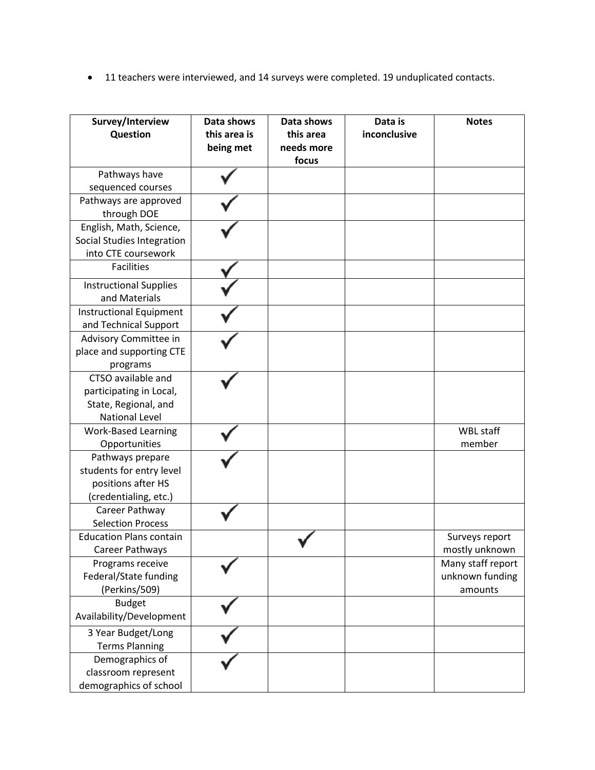• 11 teachers were interviewed, and 14 surveys were completed. 19 unduplicated contacts.

| Survey/Interview<br>Question   | Data shows<br>this area is<br>being met | Data shows<br>this area<br>needs more<br>focus | Data is<br>inconclusive | <b>Notes</b>      |
|--------------------------------|-----------------------------------------|------------------------------------------------|-------------------------|-------------------|
| Pathways have                  |                                         |                                                |                         |                   |
| sequenced courses              |                                         |                                                |                         |                   |
| Pathways are approved          |                                         |                                                |                         |                   |
| through DOE                    |                                         |                                                |                         |                   |
| English, Math, Science,        |                                         |                                                |                         |                   |
| Social Studies Integration     |                                         |                                                |                         |                   |
| into CTE coursework            |                                         |                                                |                         |                   |
| <b>Facilities</b>              |                                         |                                                |                         |                   |
| <b>Instructional Supplies</b>  |                                         |                                                |                         |                   |
| and Materials                  |                                         |                                                |                         |                   |
| <b>Instructional Equipment</b> |                                         |                                                |                         |                   |
| and Technical Support          |                                         |                                                |                         |                   |
| Advisory Committee in          |                                         |                                                |                         |                   |
| place and supporting CTE       |                                         |                                                |                         |                   |
| programs                       |                                         |                                                |                         |                   |
| CTSO available and             |                                         |                                                |                         |                   |
| participating in Local,        |                                         |                                                |                         |                   |
| State, Regional, and           |                                         |                                                |                         |                   |
| <b>National Level</b>          |                                         |                                                |                         |                   |
| <b>Work-Based Learning</b>     |                                         |                                                |                         | <b>WBL staff</b>  |
| Opportunities                  |                                         |                                                |                         | member            |
| Pathways prepare               |                                         |                                                |                         |                   |
| students for entry level       |                                         |                                                |                         |                   |
| positions after HS             |                                         |                                                |                         |                   |
| (credentialing, etc.)          |                                         |                                                |                         |                   |
| Career Pathway                 |                                         |                                                |                         |                   |
| <b>Selection Process</b>       |                                         |                                                |                         |                   |
| <b>Education Plans contain</b> |                                         |                                                |                         | Surveys report    |
| Career Pathways                |                                         |                                                |                         | mostly unknown    |
| Programs receive               |                                         |                                                |                         | Many staff report |
| Federal/State funding          |                                         |                                                |                         | unknown funding   |
| (Perkins/509)                  |                                         |                                                |                         | amounts           |
| <b>Budget</b>                  |                                         |                                                |                         |                   |
| Availability/Development       |                                         |                                                |                         |                   |
| 3 Year Budget/Long             |                                         |                                                |                         |                   |
| <b>Terms Planning</b>          |                                         |                                                |                         |                   |
| Demographics of                |                                         |                                                |                         |                   |
| classroom represent            |                                         |                                                |                         |                   |
| demographics of school         |                                         |                                                |                         |                   |